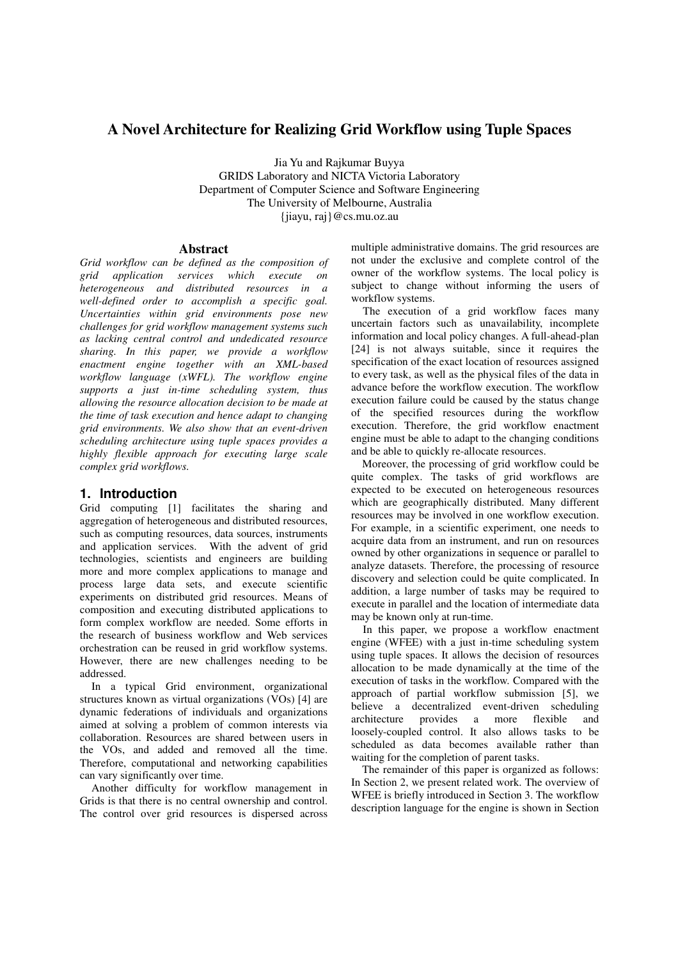# **A Novel Architecture for Realizing Grid Workflow using Tuple Spaces**

Jia Yu and Rajkumar Buyya GRIDS Laboratory and NICTA Victoria Laboratory Department of Computer Science and Software Engineering The University of Melbourne, Australia {jiayu, raj}@cs.mu.oz.au

### **Abstract**

*Grid workflow can be defined as the composition of grid application services which execute on heterogeneous and distributed resources in a well-defined order to accomplish a specific goal. Uncertainties within grid environments pose new challenges for grid workflow management systems such as lacking central control and undedicated resource sharing. In this paper, we provide a workflow enactment engine together with an XML-based workflow language (xWFL). The workflow engine supports a just in-time scheduling system, thus allowing the resource allocation decision to be made at the time of task execution and hence adapt to changing grid environments. We also show that an event-driven scheduling architecture using tuple spaces provides a highly flexible approach for executing large scale complex grid workflows.*

# **1. Introduction**

Grid computing [1] facilitates the sharing and aggregation of heterogeneous and distributed resources, such as computing resources, data sources, instruments and application services. With the advent of grid technologies, scientists and engineers are building more and more complex applications to manage and process large data sets, and execute scientific experiments on distributed grid resources. Means of composition and executing distributed applications to form complex workflow are needed. Some efforts in the research of business workflow and Web services orchestration can be reused in grid workflow systems. However, there are new challenges needing to be addressed.

In a typical Grid environment, organizational structures known as virtual organizations (VOs) [4] are dynamic federations of individuals and organizations aimed at solving a problem of common interests via collaboration. Resources are shared between users in the VOs, and added and removed all the time. Therefore, computational and networking capabilities can vary significantly over time.

Another difficulty for workflow management in Grids is that there is no central ownership and control. The control over grid resources is dispersed across

multiple administrative domains. The grid resources are not under the exclusive and complete control of the owner of the workflow systems. The local policy is subject to change without informing the users of workflow systems.

The execution of a grid workflow faces many uncertain factors such as unavailability, incomplete information and local policy changes. A full-ahead-plan [24] is not always suitable, since it requires the specification of the exact location of resources assigned to every task, as well as the physical files of the data in advance before the workflow execution. The workflow execution failure could be caused by the status change of the specified resources during the workflow execution. Therefore, the grid workflow enactment engine must be able to adapt to the changing conditions and be able to quickly re-allocate resources.

Moreover, the processing of grid workflow could be quite complex. The tasks of grid workflows are expected to be executed on heterogeneous resources which are geographically distributed. Many different resources may be involved in one workflow execution. For example, in a scientific experiment, one needs to acquire data from an instrument, and run on resources owned by other organizations in sequence or parallel to analyze datasets. Therefore, the processing of resource discovery and selection could be quite complicated. In addition, a large number of tasks may be required to execute in parallel and the location of intermediate data may be known only at run-time.

In this paper, we propose a workflow enactment engine (WFEE) with a just in-time scheduling system using tuple spaces. It allows the decision of resources allocation to be made dynamically at the time of the execution of tasks in the workflow. Compared with the approach of partial workflow submission [5], we believe a decentralized event-driven scheduling architecture provides a more flexible and loosely-coupled control. It also allows tasks to be scheduled as data becomes available rather than waiting for the completion of parent tasks.

The remainder of this paper is organized as follows: In Section 2, we present related work. The overview of WFEE is briefly introduced in Section 3. The workflow description language for the engine is shown in Section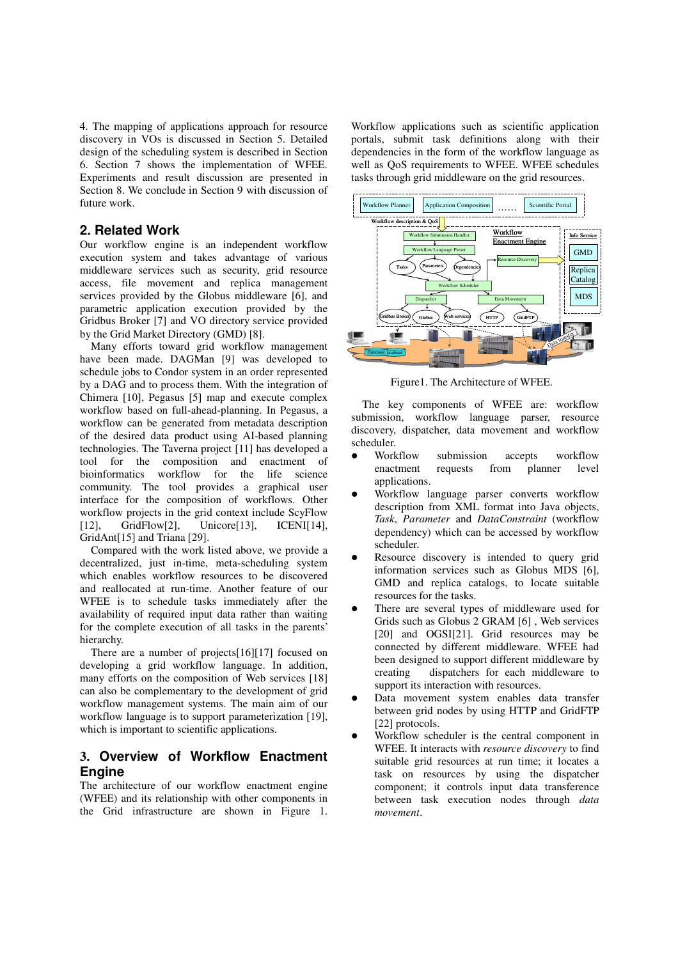4. The mapping of applications approach for resource discovery in VOs is discussed in Section 5. Detailed design of the scheduling system is described in Section 6. Section 7 shows the implementation of WFEE. Experiments and result discussion are presented in Section 8. We conclude in Section 9 with discussion of future work.

### **2. Related Work**

Our workflow engine is an independent workflow execution system and takes advantage of various middleware services such as security, grid resource access, file movement and replica management services provided by the Globus middleware [6], and parametric application execution provided by the Gridbus Broker [7] and VO directory service provided by the Grid Market Directory (GMD) [8].

Many efforts toward grid workflow management have been made. DAGMan [9] was developed to schedule jobs to Condor system in an order represented by a DAG and to process them. With the integration of Chimera [10], Pegasus [5] map and execute complex workflow based on full-ahead-planning. In Pegasus, a workflow can be generated from metadata description of the desired data product using AI-based planning technologies. The Taverna project [11] has developed a tool for the composition and enactment of bioinformatics workflow for the life science community. The tool provides a graphical user interface for the composition of workflows. Other workflow projects in the grid context include ScyFlow [12], GridFlow[2], Unicore[13], ICENI[14], GridAnt[15] and Triana [29].

Compared with the work listed above, we provide a decentralized, just in-time, meta-scheduling system which enables workflow resources to be discovered and reallocated at run-time. Another feature of our WFEE is to schedule tasks immediately after the availability of required input data rather than waiting for the complete execution of all tasks in the parents' hierarchy.

There are a number of projects[16][17] focused on developing a grid workflow language. In addition, many efforts on the composition of Web services [18] can also be complementary to the development of grid workflow management systems. The main aim of our workflow language is to support parameterization [19], which is important to scientific applications.

# **3. Overview of Workflow Enactment Engine**

The architecture of our workflow enactment engine (WFEE) and its relationship with other components in the Grid infrastructure are shown in Figure 1.

Workflow applications such as scientific application portals, submit task definitions along with their dependencies in the form of the workflow language as well as QoS requirements to WFEE. WFEE schedules tasks through grid middleware on the grid resources.



Figure1. The Architecture of WFEE.

The key components of WFEE are: workflow submission, workflow language parser, resource discovery, dispatcher, data movement and workflow scheduler.

- Workflow submission accepts workflow enactment requests from planner level applications.
- Workflow language parser converts workflow description from XML format into Java objects, *Task*, *Parameter* and *DataConstraint* (workflow dependency) which can be accessed by workflow scheduler.
- Resource discovery is intended to query grid information services such as Globus MDS [6], GMD and replica catalogs, to locate suitable resources for the tasks.
- There are several types of middleware used for Grids such as Globus 2 GRAM [6] , Web services [20] and OGSI[21]. Grid resources may be connected by different middleware. WFEE had been designed to support different middleware by creating dispatchers for each middleware to support its interaction with resources.
- Data movement system enables data transfer between grid nodes by using HTTP and GridFTP [22] protocols.
- Workflow scheduler is the central component in WFEE. It interacts with *resource discovery* to find suitable grid resources at run time; it locates a task on resources by using the dispatcher component; it controls input data transference between task execution nodes through *data movement*.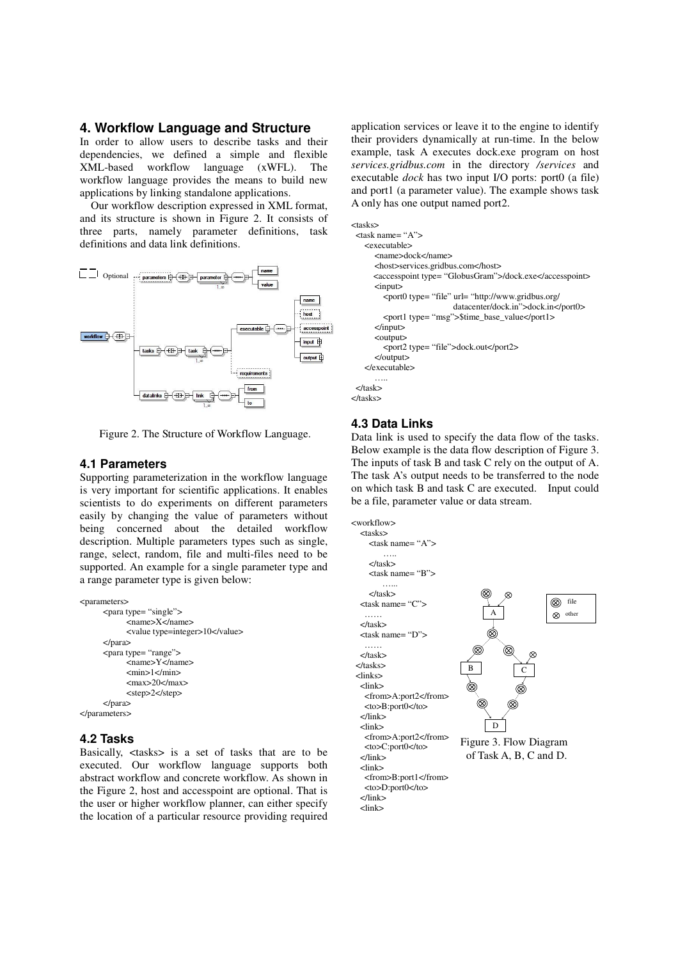### **4. Workflow Language and Structure**

In order to allow users to describe tasks and their dependencies, we defined a simple and flexible XML-based workflow language (xWFL). The workflow language provides the means to build new applications by linking standalone applications.

Our workflow description expressed in XML format, and its structure is shown in Figure 2. It consists of three parts, namely parameter definitions, task definitions and data link definitions.



Figure 2. The Structure of Workflow Language.

#### **4.1 Parameters**

Supporting parameterization in the workflow language is very important for scientific applications. It enables scientists to do experiments on different parameters easily by changing the value of parameters without being concerned about the detailed workflow description. Multiple parameters types such as single, range, select, random, file and multi-files need to be supported. An example for a single parameter type and a range parameter type is given below:



#### **4.2 Tasks**

Basically, <tasks> is a set of tasks that are to be executed. Our workflow language supports both abstract workflow and concrete workflow. As shown in the Figure 2, host and accesspoint are optional. That is the user or higher workflow planner, can either specify the location of a particular resource providing required

application services or leave it to the engine to identify their providers dynamically at run-time. In the below example, task A executes dock.exe program on host *services.gridbus.com* in the directory */services* and executable *dock* has two input I/O ports: port0 (a file) and port1 (a parameter value). The example shows task A only has one output named port2.

```
<tasks>
<task name= "A">
  <executable>
     <name>dock</name>
     <host>services.gridbus.com</host>
     <accesspoint type= "GlobusGram">/dock.exe</accesspoint>
     <input>
       <port0 type= "file" url= "http://www.gridbus.org/
                          datacenter/dock.in">dock.in</port0>
        <port1 type= "msg">$time_base_value</port1>
     \langleinput\rangle<output>
       <port2 type= "file">dock.out</port2>
     </output>
  </executable>
     …..
\epsilon/task\geq
```
# **4.3 Data Links**

</tasks>

### Data link is used to specify the data flow of the tasks. Below example is the data flow description of Figure 3. The inputs of task B and task C rely on the output of A. The task A's output needs to be transferred to the node on which task B and task C are executed. Input could

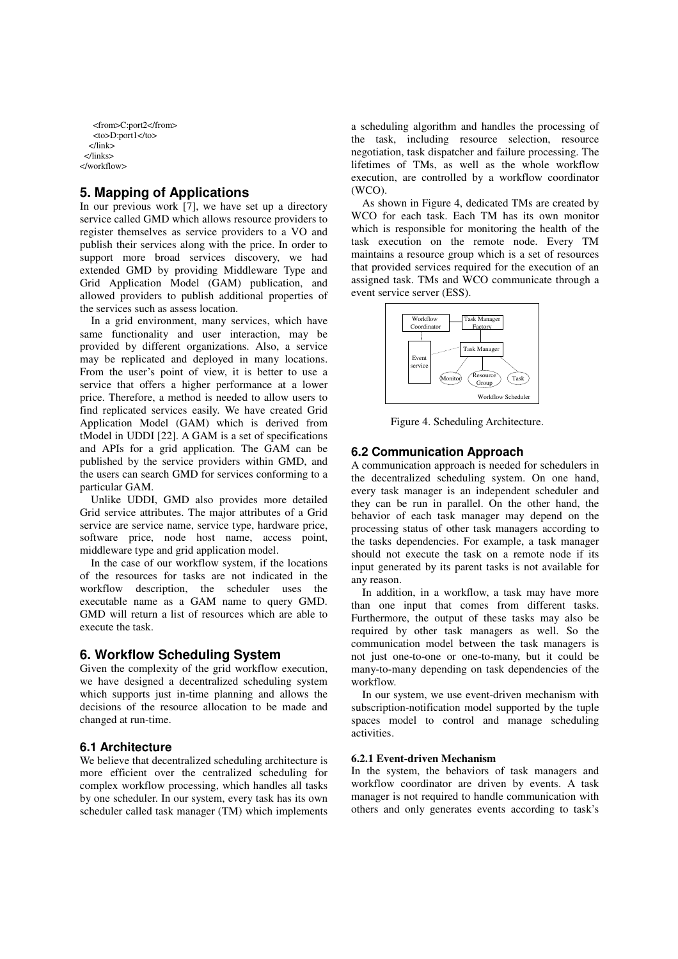<from>C:port2</from>  $\epsilon$ to>D:port1 $\epsilon$ /to> </link> </links> </workflow>

# **5. Mapping of Applications**

In our previous work [7], we have set up a directory service called GMD which allows resource providers to register themselves as service providers to a VO and publish their services along with the price. In order to support more broad services discovery, we had extended GMD by providing Middleware Type and Grid Application Model (GAM) publication, and allowed providers to publish additional properties of the services such as assess location.

In a grid environment, many services, which have same functionality and user interaction, may be provided by different organizations. Also, a service may be replicated and deployed in many locations. From the user's point of view, it is better to use a service that offers a higher performance at a lower price. Therefore, a method is needed to allow users to find replicated services easily. We have created Grid Application Model (GAM) which is derived from tModel in UDDI [22]. A GAM is a set of specifications and APIs for a grid application. The GAM can be published by the service providers within GMD, and the users can search GMD for services conforming to a particular GAM.

Unlike UDDI, GMD also provides more detailed Grid service attributes. The major attributes of a Grid service are service name, service type, hardware price, software price, node host name, access point, middleware type and grid application model.

In the case of our workflow system, if the locations of the resources for tasks are not indicated in the workflow description, the scheduler uses the executable name as a GAM name to query GMD. GMD will return a list of resources which are able to execute the task.

# **6. Workflow Scheduling System**

Given the complexity of the grid workflow execution, we have designed a decentralized scheduling system which supports just in-time planning and allows the decisions of the resource allocation to be made and changed at run-time.

# **6.1 Architecture**

We believe that decentralized scheduling architecture is more efficient over the centralized scheduling for complex workflow processing, which handles all tasks by one scheduler. In our system, every task has its own scheduler called task manager (TM) which implements

a scheduling algorithm and handles the processing of the task, including resource selection, resource negotiation, task dispatcher and failure processing. The lifetimes of TMs, as well as the whole workflow execution, are controlled by a workflow coordinator (WCO).

As shown in Figure 4, dedicated TMs are created by WCO for each task. Each TM has its own monitor which is responsible for monitoring the health of the task execution on the remote node. Every TM maintains a resource group which is a set of resources that provided services required for the execution of an assigned task. TMs and WCO communicate through a event service server (ESS).



Figure 4. Scheduling Architecture.

# **6.2 Communication Approach**

A communication approach is needed for schedulers in the decentralized scheduling system. On one hand, every task manager is an independent scheduler and they can be run in parallel. On the other hand, the behavior of each task manager may depend on the processing status of other task managers according to the tasks dependencies. For example, a task manager should not execute the task on a remote node if its input generated by its parent tasks is not available for any reason.

In addition, in a workflow, a task may have more than one input that comes from different tasks. Furthermore, the output of these tasks may also be required by other task managers as well. So the communication model between the task managers is not just one-to-one or one-to-many, but it could be many-to-many depending on task dependencies of the workflow.

In our system, we use event-driven mechanism with subscription-notification model supported by the tuple spaces model to control and manage scheduling activities.

### **6.2.1 Event-driven Mechanism**

In the system, the behaviors of task managers and workflow coordinator are driven by events. A task manager is not required to handle communication with others and only generates events according to task's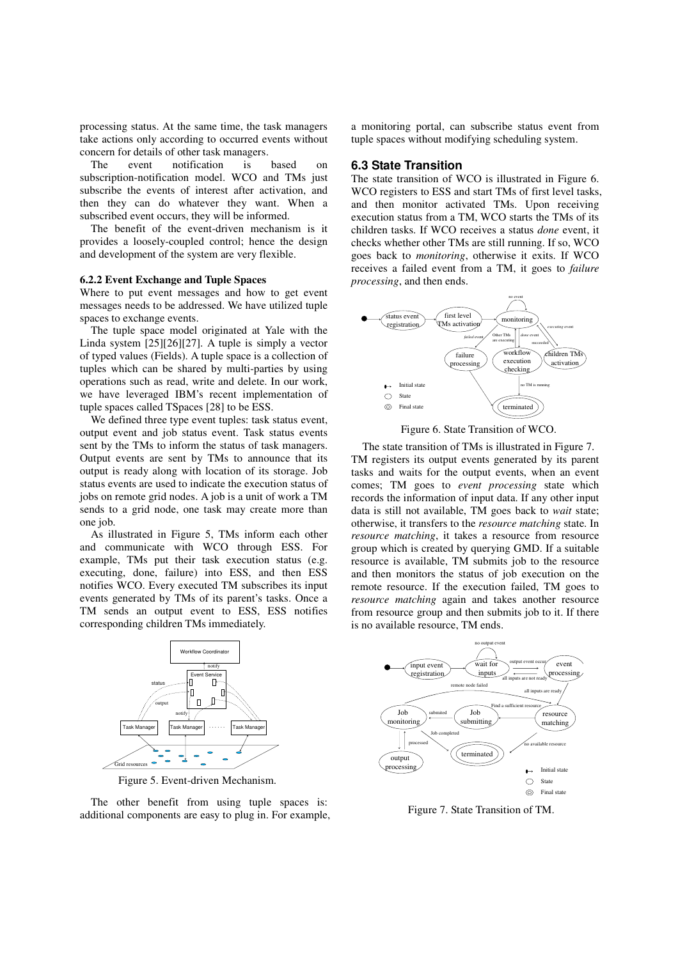processing status. At the same time, the task managers take actions only according to occurred events without concern for details of other task managers.

The event notification is based on subscription-notification model. WCO and TMs just subscribe the events of interest after activation, and then they can do whatever they want. When a subscribed event occurs, they will be informed.

The benefit of the event-driven mechanism is it provides a loosely-coupled control; hence the design and development of the system are very flexible.

#### **6.2.2 Event Exchange and Tuple Spaces**

Where to put event messages and how to get event messages needs to be addressed. We have utilized tuple spaces to exchange events.

The tuple space model originated at Yale with the Linda system [25][26][27]. A tuple is simply a vector of typed values (Fields). A tuple space is a collection of tuples which can be shared by multi-parties by using operations such as read, write and delete. In our work, we have leveraged IBM's recent implementation of tuple spaces called TSpaces [28] to be ESS.

We defined three type event tuples: task status event, output event and job status event. Task status events sent by the TMs to inform the status of task managers. Output events are sent by TMs to announce that its output is ready along with location of its storage. Job status events are used to indicate the execution status of jobs on remote grid nodes. A job is a unit of work a TM sends to a grid node, one task may create more than one job.

As illustrated in Figure 5, TMs inform each other and communicate with WCO through ESS. For example, TMs put their task execution status (e.g. executing, done, failure) into ESS, and then ESS notifies WCO. Every executed TM subscribes its input events generated by TMs of its parent's tasks. Once a TM sends an output event to ESS, ESS notifies corresponding children TMs immediately.



Figure 5. Event-driven Mechanism.

The other benefit from using tuple spaces is: additional components are easy to plug in. For example, a monitoring portal, can subscribe status event from tuple spaces without modifying scheduling system.

#### **6.3 State Transition**

The state transition of WCO is illustrated in Figure 6. WCO registers to ESS and start TMs of first level tasks, and then monitor activated TMs. Upon receiving execution status from a TM, WCO starts the TMs of its children tasks. If WCO receives a status *done* event, it checks whether other TMs are still running. If so, WCO goes back to *monitoring*, otherwise it exits. If WCO receives a failed event from a TM, it goes to *failure processing*, and then ends.



Figure 6. State Transition of WCO.

The state transition of TMs is illustrated in Figure 7. TM registers its output events generated by its parent tasks and waits for the output events, when an event comes; TM goes to *event processing* state which records the information of input data. If any other input data is still not available, TM goes back to *wait* state; otherwise, it transfers to the *resource matching* state. In *resource matching*, it takes a resource from resource group which is created by querying GMD. If a suitable resource is available, TM submits job to the resource and then monitors the status of job execution on the remote resource. If the execution failed, TM goes to *resource matching* again and takes another resource from resource group and then submits job to it. If there is no available resource, TM ends.



Figure 7. State Transition of TM.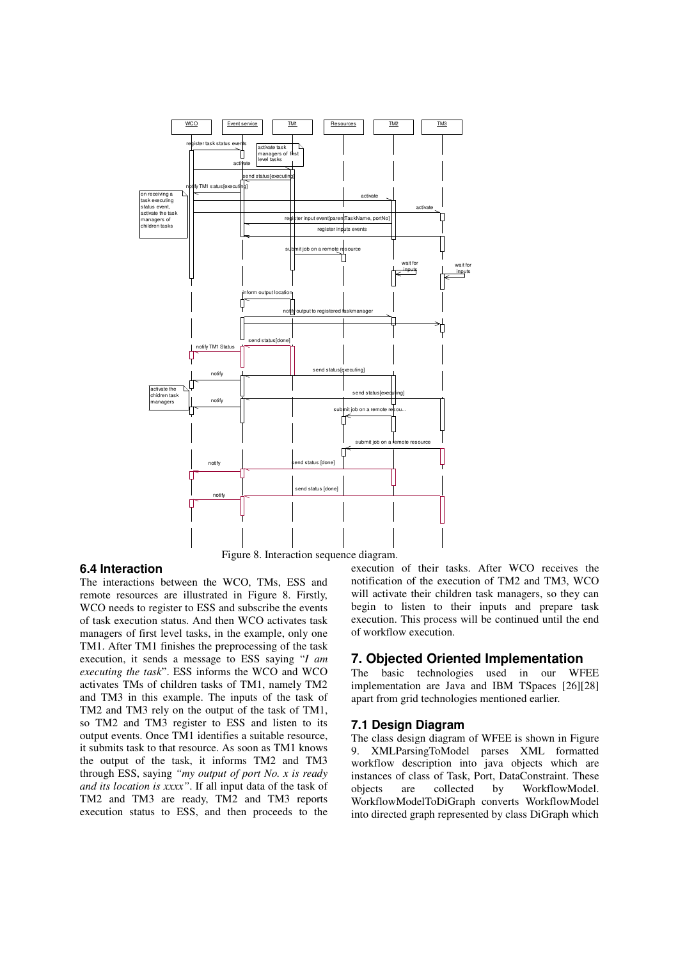

#### **6.4 Interaction**

The interactions between the WCO, TMs, ESS and remote resources are illustrated in Figure 8. Firstly, WCO needs to register to ESS and subscribe the events of task execution status. And then WCO activates task managers of first level tasks, in the example, only one TM1. After TM1 finishes the preprocessing of the task execution, it sends a message to ESS saying "*I am executing the task*". ESS informs the WCO and WCO activates TMs of children tasks of TM1, namely TM2 and TM3 in this example. The inputs of the task of TM2 and TM3 rely on the output of the task of TM1, so TM2 and TM3 register to ESS and listen to its output events. Once TM1 identifies a suitable resource, it submits task to that resource. As soon as TM1 knows the output of the task, it informs TM2 and TM3 through ESS, saying *"my output of port No. x is ready and its location is xxxx"*. If all input data of the task of TM2 and TM3 are ready, TM2 and TM3 reports execution status to ESS, and then proceeds to the execution of their tasks. After WCO receives the notification of the execution of TM2 and TM3, WCO will activate their children task managers, so they can begin to listen to their inputs and prepare task execution. This process will be continued until the end of workflow execution.

# **7. Objected Oriented Implementation**

The basic technologies used in our WFEE implementation are Java and IBM TSpaces [26][28] apart from grid technologies mentioned earlier.

#### **7.1 Design Diagram**

The class design diagram of WFEE is shown in Figure 9. XMLParsingToModel parses XML formatted workflow description into java objects which are instances of class of Task, Port, DataConstraint. These objects are collected by WorkflowModel. WorkflowModelToDiGraph converts WorkflowModel into directed graph represented by class DiGraph which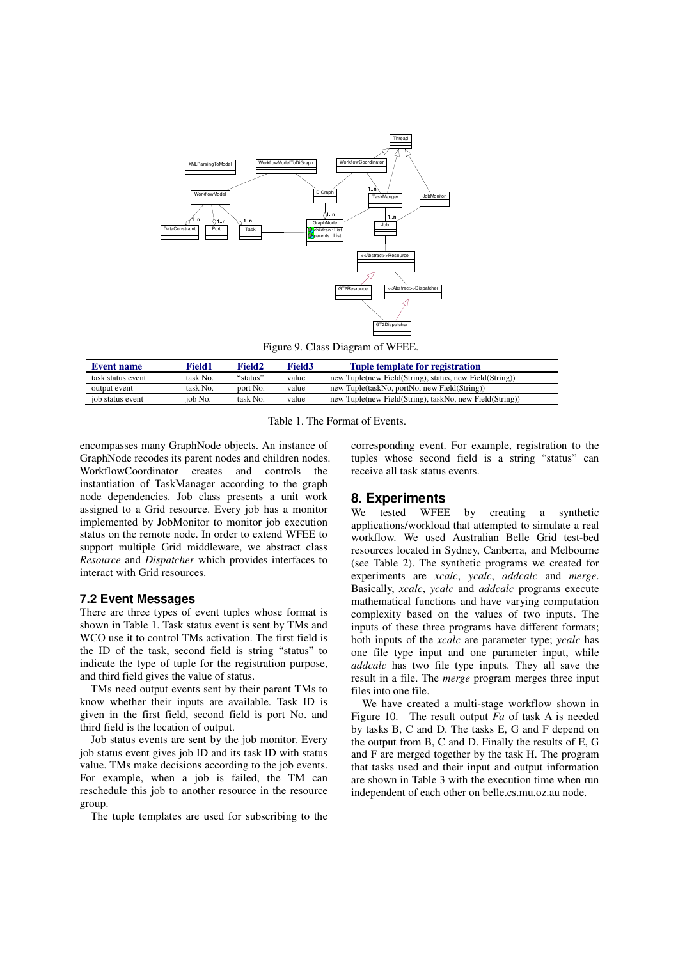

Figure 9. Class Diagram of WFEE.

| <b>Event name</b> | <b>Field1</b> | Field2   | <b>Field3</b> | <b>Tuple template for registration</b>                  |
|-------------------|---------------|----------|---------------|---------------------------------------------------------|
| task status event | task No.      | "status" | value         | new Tuple(new Field(String), status, new Field(String)) |
| output event      | task No.      | port No. | value         | new Tuple(taskNo, portNo, new Field(String))            |
| job status event  | iob No.       | task No. | value         | new Tuple(new Field(String), taskNo, new Field(String)) |

Table 1. The Format of Events.

encompasses many GraphNode objects. An instance of GraphNode recodes its parent nodes and children nodes. WorkflowCoordinator creates and controls the instantiation of TaskManager according to the graph node dependencies. Job class presents a unit work assigned to a Grid resource. Every job has a monitor implemented by JobMonitor to monitor job execution status on the remote node. In order to extend WFEE to support multiple Grid middleware, we abstract class *Resource* and *Dispatcher* which provides interfaces to interact with Grid resources.

#### **7.2 Event Messages**

There are three types of event tuples whose format is shown in Table 1. Task status event is sent by TMs and WCO use it to control TMs activation. The first field is the ID of the task, second field is string "status" to indicate the type of tuple for the registration purpose, and third field gives the value of status.

TMs need output events sent by their parent TMs to know whether their inputs are available. Task ID is given in the first field, second field is port No. and third field is the location of output.

Job status events are sent by the job monitor. Every job status event gives job ID and its task ID with status value. TMs make decisions according to the job events. For example, when a job is failed, the TM can reschedule this job to another resource in the resource group.

The tuple templates are used for subscribing to the

corresponding event. For example, registration to the tuples whose second field is a string "status" can receive all task status events.

### **8. Experiments**

We tested WFEE by creating a synthetic applications/workload that attempted to simulate a real workflow. We used Australian Belle Grid test-bed resources located in Sydney, Canberra, and Melbourne (see Table 2). The synthetic programs we created for experiments are *xcalc*, *ycalc*, *addcalc* and *merge*. Basically, *xcalc*, *ycalc* and *addcalc* programs execute mathematical functions and have varying computation complexity based on the values of two inputs. The inputs of these three programs have different formats; both inputs of the *xcalc* are parameter type; *ycalc* has one file type input and one parameter input, while *addcalc* has two file type inputs. They all save the result in a file. The *merge* program merges three input files into one file.

We have created a multi-stage workflow shown in Figure 10. The result output *Fa* of task A is needed by tasks B, C and D. The tasks E, G and F depend on the output from B, C and D. Finally the results of E, G and F are merged together by the task H. The program that tasks used and their input and output information are shown in Table 3 with the execution time when run independent of each other on belle.cs.mu.oz.au node.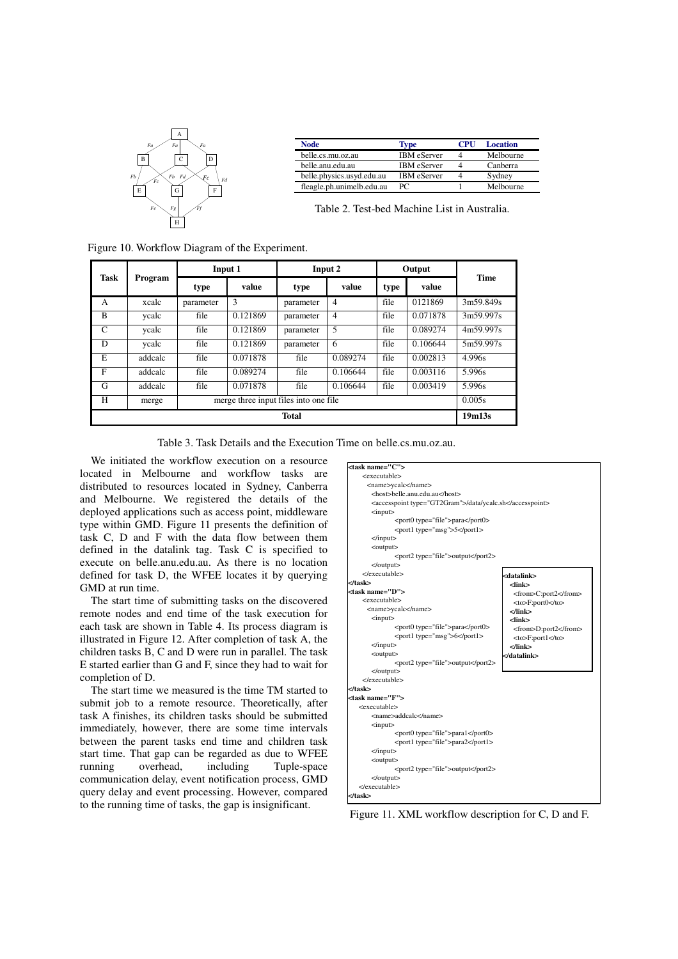

| <b>Node</b>               | Type               | CPU | Location  |
|---------------------------|--------------------|-----|-----------|
| belle.cs.mu.oz.au         | <b>IBM</b> eServer |     | Melbourne |
| belle.anu.edu.au          | <b>IBM</b> eServer |     | Canberra  |
| belle.physics.usyd.edu.au | <b>IBM</b> eServer |     | Sydney    |
| fleagle.ph.unimelb.edu.au | РC                 |     | Melbourne |

Table 2. Test-bed Machine List in Australia.

Figure 10. Workflow Diagram of the Experiment.

| Task           | Program | Input 1                               |          | Input 2   |                | Output |          | Time      |
|----------------|---------|---------------------------------------|----------|-----------|----------------|--------|----------|-----------|
|                |         | type                                  | value    | type      | value          | type   | value    |           |
| $\overline{A}$ | xcalc   | parameter                             | 3        | parameter | 4              | file   | 0121869  | 3m59.849s |
| B              | ycalc   | file                                  | 0.121869 | parameter | $\overline{4}$ | file   | 0.071878 | 3m59.997s |
| C              | ycalc   | file                                  | 0.121869 | parameter | 5              | file   | 0.089274 | 4m59.997s |
| D              | ycalc   | file                                  | 0.121869 | parameter | 6              | file   | 0.106644 | 5m59.997s |
| Е              | addcalc | file                                  | 0.071878 | file      | 0.089274       | file   | 0.002813 | 4.996s    |
| F              | addcalc | file                                  | 0.089274 | file      | 0.106644       | file   | 0.003116 | 5.996s    |
| G              | addcalc | file                                  | 0.071878 | file      | 0.106644       | file   | 0.003419 | 5.996s    |
| H              | merge   | merge three input files into one file |          |           |                | 0.005s |          |           |
| <b>Total</b>   |         |                                       |          |           |                |        | 19m13s   |           |

Table 3. Task Details and the Execution Time on belle.cs.mu.oz.au.

We initiated the workflow execution on a resource located in Melbourne and workflow tasks are distributed to resources located in Sydney, Canberra and Melbourne. We registered the details of the deployed applications such as access point, middleware type within GMD. Figure 11 presents the definition of task C, D and F with the data flow between them defined in the datalink tag. Task C is specified to execute on belle.anu.edu.au. As there is no location defined for task D, the WFEE locates it by querying GMD at run time.

The start time of submitting tasks on the discovered remote nodes and end time of the task execution for each task are shown in Table 4. Its process diagram is illustrated in Figure 12. After completion of task A, the children tasks B, C and D were run in parallel. The task E started earlier than G and F, since they had to wait for completion of D.

The start time we measured is the time TM started to submit job to a remote resource. Theoretically, after task A finishes, its children tasks should be submitted immediately, however, there are some time intervals between the parent tasks end time and children task start time. That gap can be regarded as due to WFEE<br>running overhead, including Tuple-space overhead, including Tuple-space communication delay, event notification process, GMD query delay and event processing. However, compared to the running time of tasks, the gap is insignificant.



Figure 11. XML workflow description for C, D and F.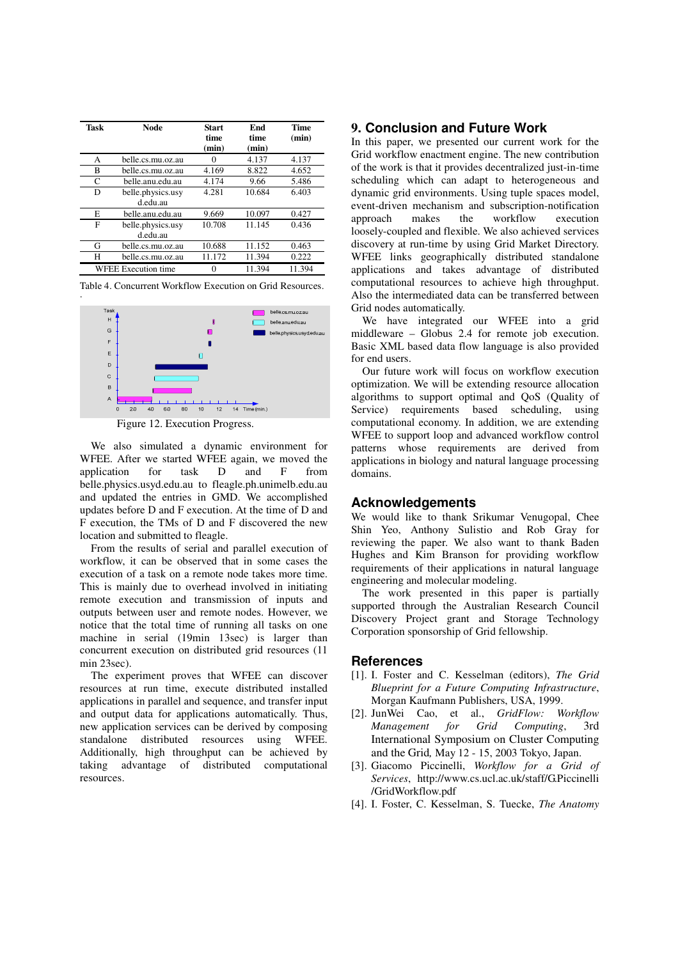| <b>Task</b> | Node                       | <b>Start</b><br>time<br>(min) | End<br>time<br>(min) | Time<br>(min) |
|-------------|----------------------------|-------------------------------|----------------------|---------------|
| A           | belle.cs.mu.oz.au          | $\theta$                      | 4.137                | 4.137         |
| в           | belle.cs.mu.oz.au          | 4.169                         | 8.822                | 4.652         |
| C           | belle.anu.edu.au           | 4.174                         | 9.66                 | 5.486         |
| D           | belle.physics.usy          | 4.281                         | 10.684               | 6.403         |
|             | d.edu.au                   |                               |                      |               |
| E           | belle.anu.edu.au           | 9.669                         | 10.097               | 0.427         |
| F           | belle.physics.usy          | 10.708                        | 11.145               | 0.436         |
|             | d.edu.au                   |                               |                      |               |
| G           | belle.cs.mu.oz.au          | 10.688                        | 11.152               | 0.463         |
| Н           | belle.cs.mu.oz.au          | 11.172                        | 11.394               | 0.222         |
|             | <b>WFEE Execution time</b> | 0                             | 11.394               | 11.394        |

Table 4. Concurrent Workflow Execution on Grid Resources.



Figure 12. Execution Progress.

We also simulated a dynamic environment for WFEE. After we started WFEE again, we moved the application for task D and F from belle.physics.usyd.edu.au to fleagle.ph.unimelb.edu.au and updated the entries in GMD. We accomplished updates before D and F execution. At the time of D and F execution, the TMs of D and F discovered the new location and submitted to fleagle.

From the results of serial and parallel execution of workflow, it can be observed that in some cases the execution of a task on a remote node takes more time. This is mainly due to overhead involved in initiating remote execution and transmission of inputs and outputs between user and remote nodes. However, we notice that the total time of running all tasks on one machine in serial (19min 13sec) is larger than concurrent execution on distributed grid resources (11 min 23sec).

The experiment proves that WFEE can discover resources at run time, execute distributed installed applications in parallel and sequence, and transfer input and output data for applications automatically. Thus, new application services can be derived by composing standalone distributed resources using WFEE. Additionally, high throughput can be achieved by taking advantage of distributed computational resources.

### **9. Conclusion and Future Work**

In this paper, we presented our current work for the Grid workflow enactment engine. The new contribution of the work is that it provides decentralized just-in-time scheduling which can adapt to heterogeneous and dynamic grid environments. Using tuple spaces model, event-driven mechanism and subscription-notification<br>approach makes the workflow execution workflow loosely-coupled and flexible. We also achieved services discovery at run-time by using Grid Market Directory. WFEE links geographically distributed standalone applications and takes advantage of distributed computational resources to achieve high throughput. Also the intermediated data can be transferred between Grid nodes automatically.

We have integrated our WFEE into a grid middleware – Globus 2.4 for remote job execution. Basic XML based data flow language is also provided for end users.

Our future work will focus on workflow execution optimization. We will be extending resource allocation algorithms to support optimal and QoS (Quality of Service) requirements based scheduling, using computational economy. In addition, we are extending WFEE to support loop and advanced workflow control patterns whose requirements are derived from applications in biology and natural language processing domains.

#### **Acknowledgements**

We would like to thank Srikumar Venugopal, Chee Shin Yeo, Anthony Sulistio and Rob Gray for reviewing the paper. We also want to thank Baden Hughes and Kim Branson for providing workflow requirements of their applications in natural language engineering and molecular modeling.

The work presented in this paper is partially supported through the Australian Research Council Discovery Project grant and Storage Technology Corporation sponsorship of Grid fellowship.

#### **References**

- [1]. I. Foster and C. Kesselman (editors), *The Grid Blueprint for a Future Computing Infrastructure*, Morgan Kaufmann Publishers, USA, 1999.
- [2]. JunWei Cao, et al., *GridFlow: Workflow Management for Grid Computing*, 3rd International Symposium on Cluster Computing and the Grid*,* May 12 - 15, 2003 Tokyo, Japan.
- [3]. Giacomo Piccinelli, *Workflow for a Grid of Services*, http://www.cs.ucl.ac.uk/staff/G.Piccinelli /GridWorkflow.pdf
- [4]. I. Foster, C. Kesselman, S. Tuecke, *The Anatomy*